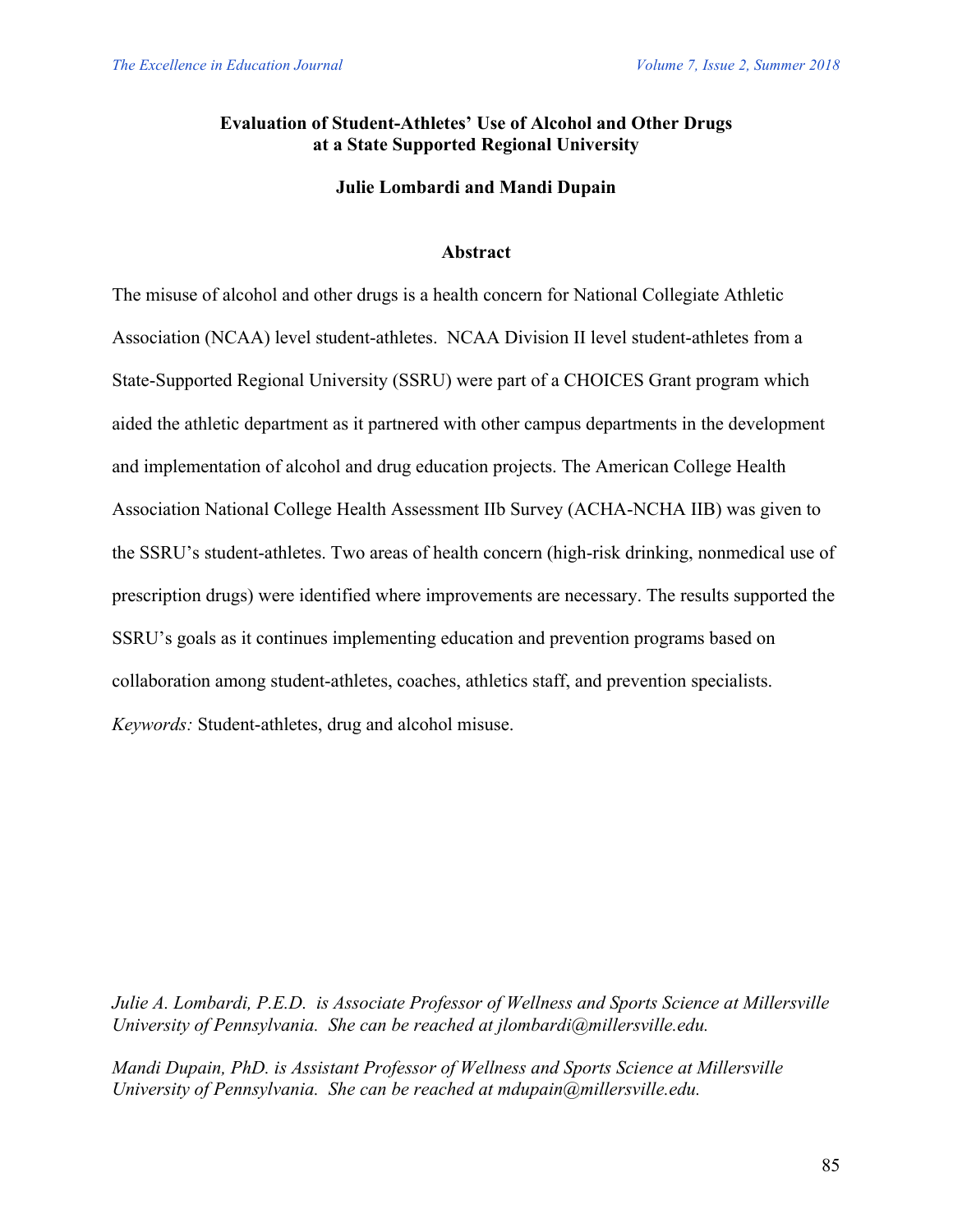# **Evaluation of Student-Athletes' Use of Alcohol and Other Drugs at a State Supported Regional University**

## **Julie Lombardi and Mandi Dupain**

### **Abstract**

The misuse of alcohol and other drugs is a health concern for National Collegiate Athletic Association (NCAA) level student-athletes. NCAA Division II level student-athletes from a State-Supported Regional University (SSRU) were part of a CHOICES Grant program which aided the athletic department as it partnered with other campus departments in the development and implementation of alcohol and drug education projects. The American College Health Association National College Health Assessment IIb Survey (ACHA-NCHA IIB) was given to the SSRU's student-athletes. Two areas of health concern (high-risk drinking, nonmedical use of prescription drugs) were identified where improvements are necessary. The results supported the SSRU's goals as it continues implementing education and prevention programs based on collaboration among student-athletes, coaches, athletics staff, and prevention specialists. *Keywords:* Student-athletes, drug and alcohol misuse.

*Julie A. Lombardi, P.E.D. is Associate Professor of Wellness and Sports Science at Millersville University of Pennsylvania. She can be reached at jlombardi@millersville.edu.*

*Mandi Dupain, PhD. is Assistant Professor of Wellness and Sports Science at Millersville University of Pennsylvania. She can be reached at mdupain@millersville.edu.*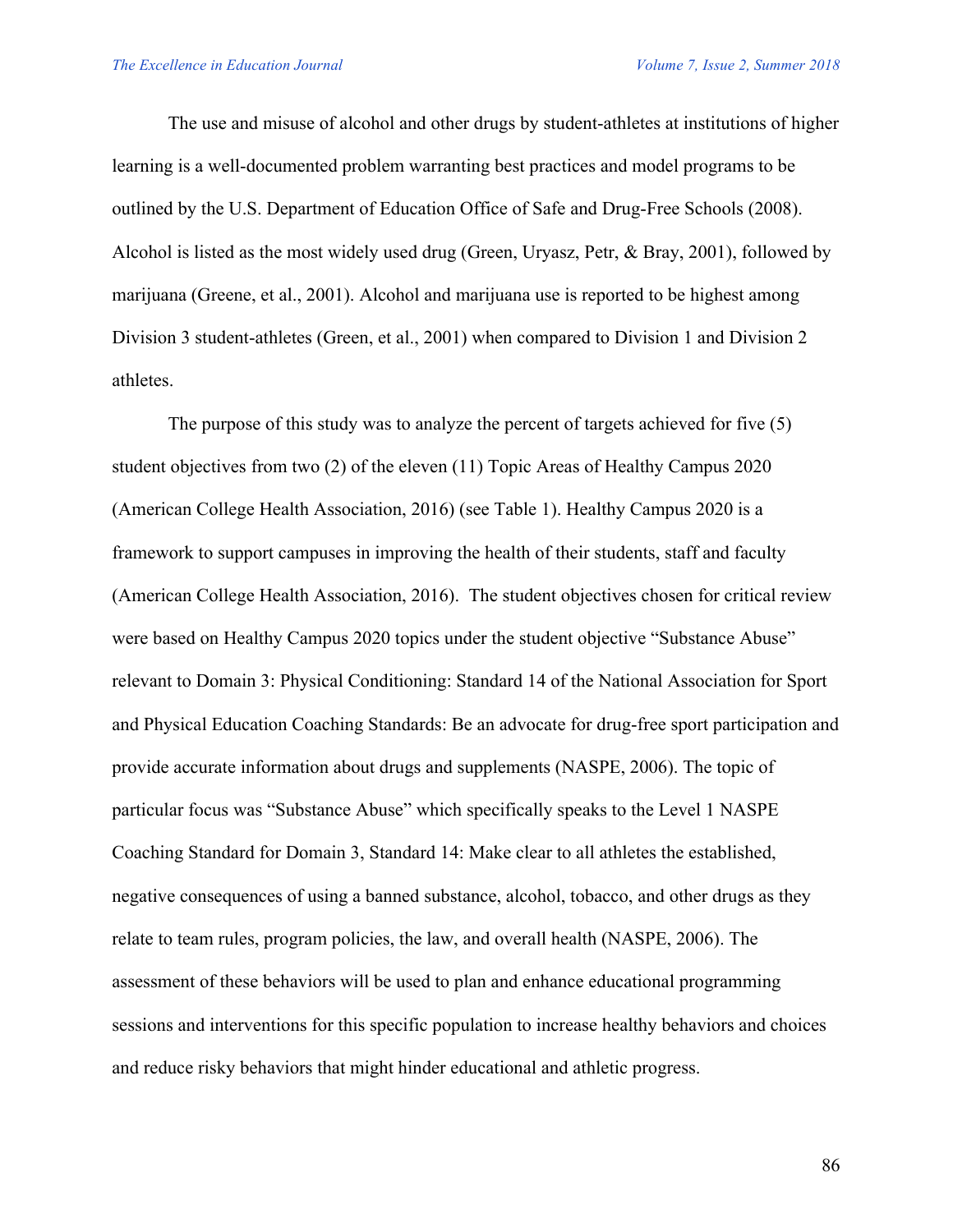The use and misuse of alcohol and other drugs by student-athletes at institutions of higher learning is a well-documented problem warranting best practices and model programs to be outlined by the U.S. Department of Education Office of Safe and Drug-Free Schools (2008). Alcohol is listed as the most widely used drug (Green, Uryasz, Petr, & Bray, 2001), followed by marijuana (Greene, et al., 2001). Alcohol and marijuana use is reported to be highest among Division 3 student-athletes (Green, et al., 2001) when compared to Division 1 and Division 2 athletes.

The purpose of this study was to analyze the percent of targets achieved for five (5) student objectives from two (2) of the eleven (11) Topic Areas of Healthy Campus 2020 (American College Health Association, 2016) (see Table 1). Healthy Campus 2020 is a framework to support campuses in improving the health of their students, staff and faculty (American College Health Association, 2016). The student objectives chosen for critical review were based on Healthy Campus 2020 topics under the student objective "Substance Abuse" relevant to Domain 3: Physical Conditioning: Standard 14 of the National Association for Sport and Physical Education Coaching Standards: Be an advocate for drug-free sport participation and provide accurate information about drugs and supplements (NASPE, 2006). The topic of particular focus was "Substance Abuse" which specifically speaks to the Level 1 NASPE Coaching Standard for Domain 3, Standard 14: Make clear to all athletes the established, negative consequences of using a banned substance, alcohol, tobacco, and other drugs as they relate to team rules, program policies, the law, and overall health (NASPE, 2006). The assessment of these behaviors will be used to plan and enhance educational programming sessions and interventions for this specific population to increase healthy behaviors and choices and reduce risky behaviors that might hinder educational and athletic progress.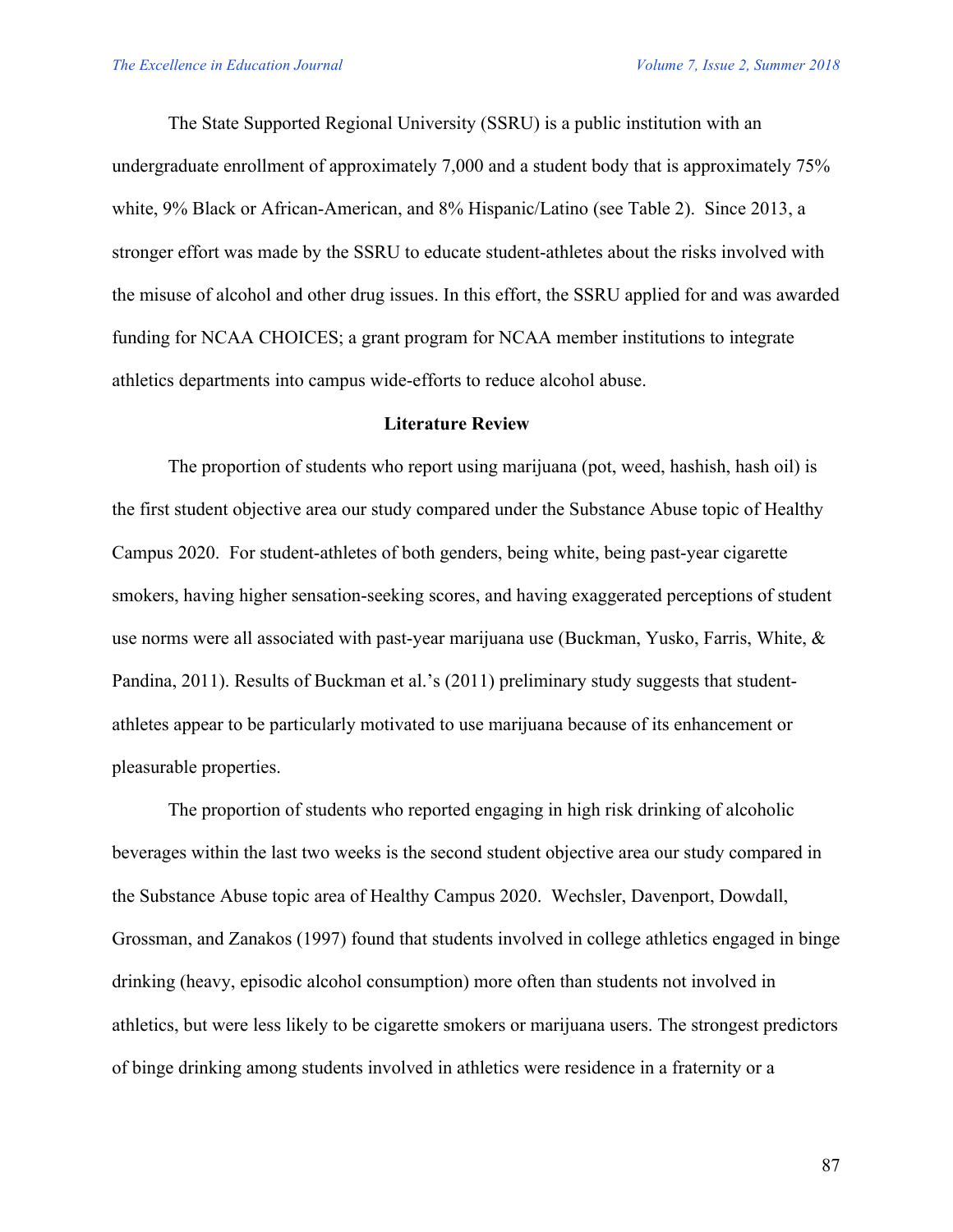The State Supported Regional University (SSRU) is a public institution with an undergraduate enrollment of approximately 7,000 and a student body that is approximately 75% white, 9% Black or African-American, and 8% Hispanic/Latino (see Table 2). Since 2013, a stronger effort was made by the SSRU to educate student-athletes about the risks involved with the misuse of alcohol and other drug issues. In this effort, the SSRU applied for and was awarded funding for NCAA CHOICES; a grant program for NCAA member institutions to integrate athletics departments into campus wide-efforts to reduce alcohol abuse.

#### **Literature Review**

The proportion of students who report using marijuana (pot, weed, hashish, hash oil) is the first student objective area our study compared under the Substance Abuse topic of Healthy Campus 2020. For student-athletes of both genders, being white, being past-year cigarette smokers, having higher sensation-seeking scores, and having exaggerated perceptions of student use norms were all associated with past-year marijuana use (Buckman, Yusko, Farris, White, & Pandina, 2011). Results of Buckman et al.'s (2011) preliminary study suggests that studentathletes appear to be particularly motivated to use marijuana because of its enhancement or pleasurable properties.

The proportion of students who reported engaging in high risk drinking of alcoholic beverages within the last two weeks is the second student objective area our study compared in the Substance Abuse topic area of Healthy Campus 2020. Wechsler, Davenport, Dowdall, Grossman, and Zanakos (1997) found that students involved in college athletics engaged in binge drinking (heavy, episodic alcohol consumption) more often than students not involved in athletics, but were less likely to be cigarette smokers or marijuana users. The strongest predictors of binge drinking among students involved in athletics were residence in a fraternity or a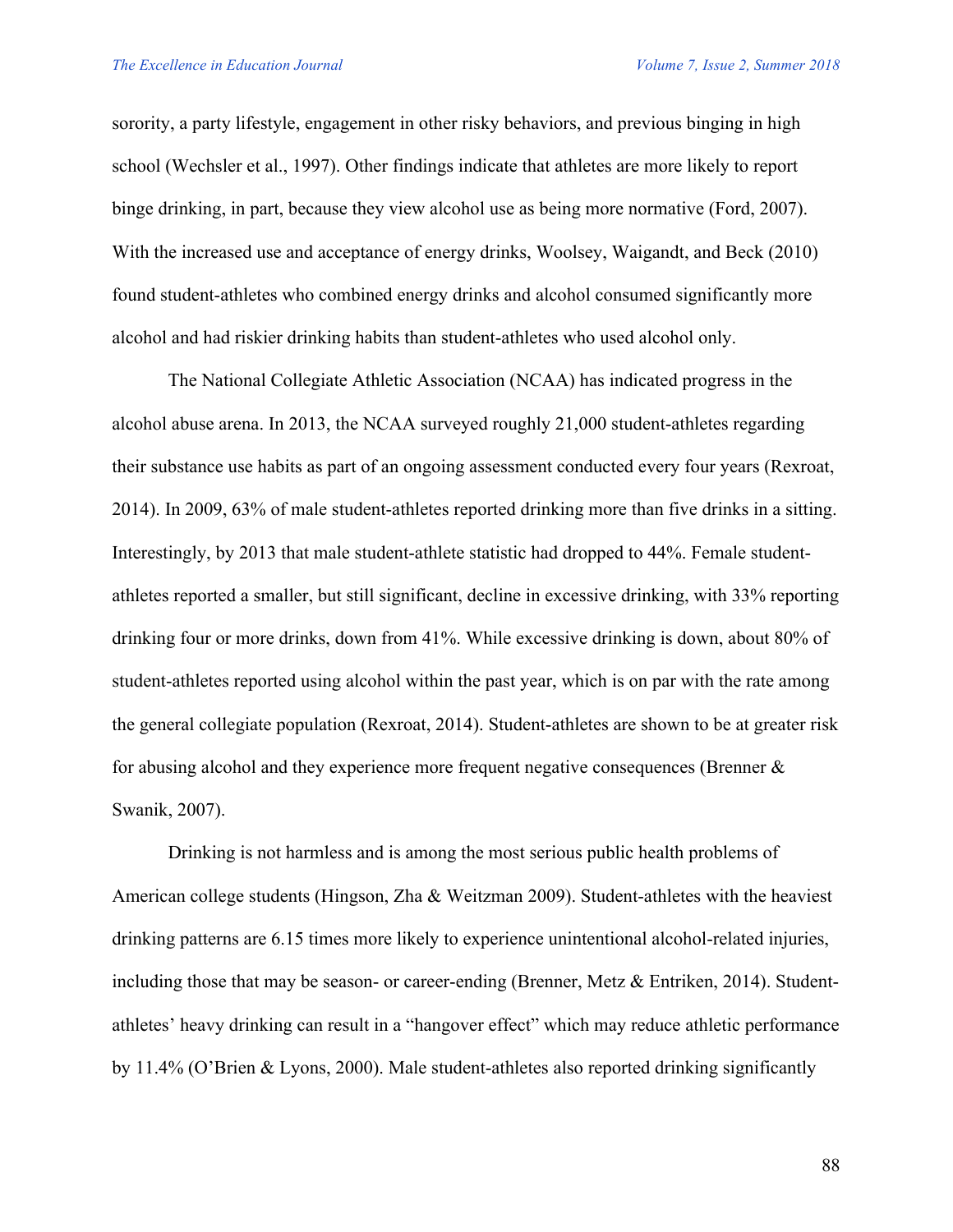sorority, a party lifestyle, engagement in other risky behaviors, and previous binging in high school (Wechsler et al., 1997). Other findings indicate that athletes are more likely to report binge drinking, in part, because they view alcohol use as being more normative (Ford, 2007). With the increased use and acceptance of energy drinks, Woolsey, Waigandt, and Beck (2010) found student-athletes who combined energy drinks and alcohol consumed significantly more alcohol and had riskier drinking habits than student-athletes who used alcohol only.

The National Collegiate Athletic Association (NCAA) has indicated progress in the alcohol abuse arena. In 2013, the NCAA surveyed roughly 21,000 student-athletes regarding their substance use habits as part of an ongoing assessment conducted every four years (Rexroat, 2014). In 2009, 63% of male student-athletes reported drinking more than five drinks in a sitting. Interestingly, by 2013 that male student-athlete statistic had dropped to 44%. Female studentathletes reported a smaller, but still significant, decline in excessive drinking, with 33% reporting drinking four or more drinks, down from 41%. While excessive drinking is down, about 80% of student-athletes reported using alcohol within the past year, which is on par with the rate among the general collegiate population (Rexroat, 2014). Student-athletes are shown to be at greater risk for abusing alcohol and they experience more frequent negative consequences (Brenner & Swanik, 2007).

Drinking is not harmless and is among the most serious public health problems of American college students (Hingson, Zha & Weitzman 2009). Student-athletes with the heaviest drinking patterns are 6.15 times more likely to experience unintentional alcohol-related injuries, including those that may be season- or career-ending (Brenner, Metz & Entriken, 2014). Studentathletes' heavy drinking can result in a "hangover effect" which may reduce athletic performance by 11.4% (O'Brien & Lyons, 2000). Male student-athletes also reported drinking significantly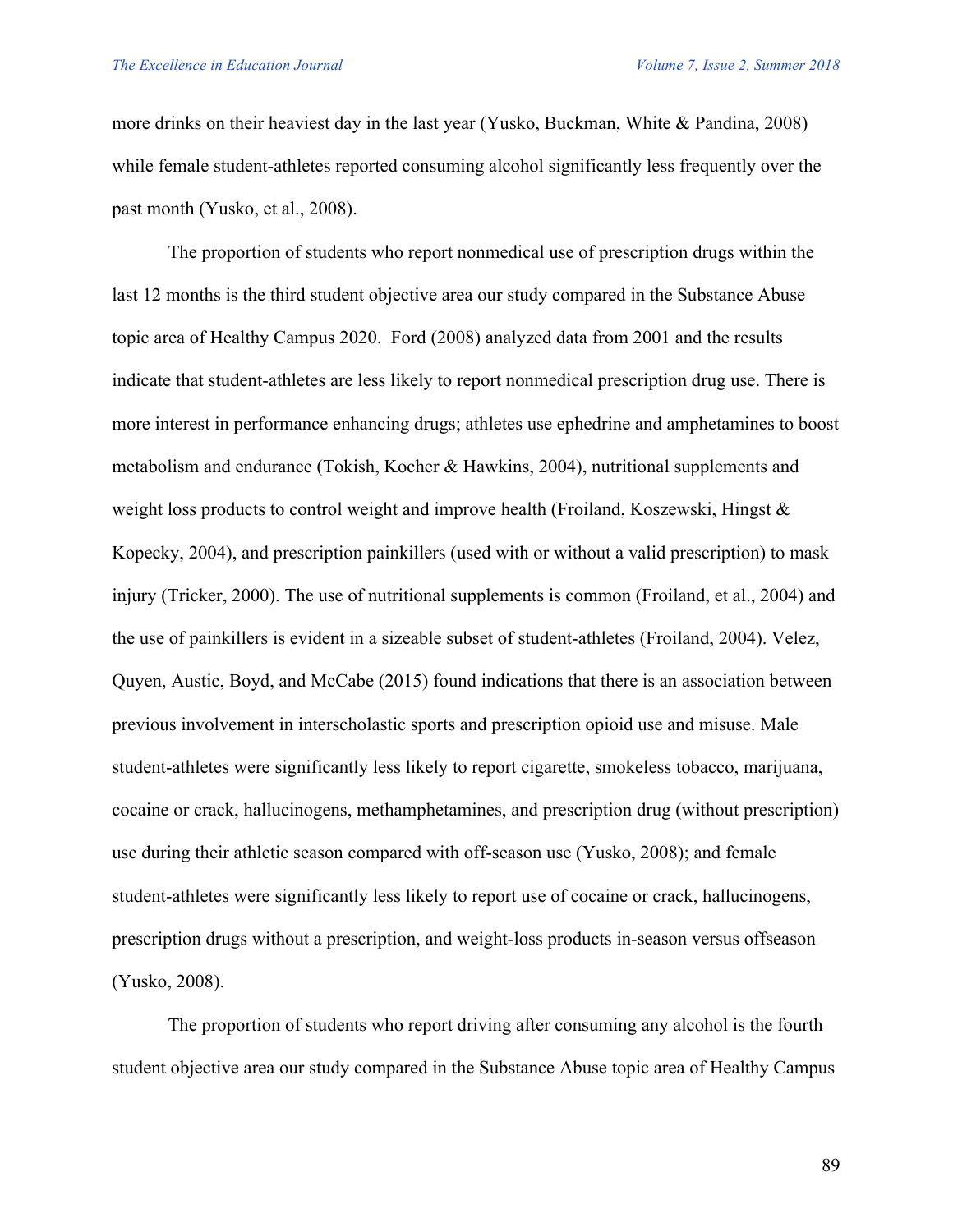more drinks on their heaviest day in the last year (Yusko, Buckman, White & Pandina, 2008) while female student-athletes reported consuming alcohol significantly less frequently over the past month (Yusko, et al., 2008).

The proportion of students who report nonmedical use of prescription drugs within the last 12 months is the third student objective area our study compared in the Substance Abuse topic area of Healthy Campus 2020. Ford (2008) analyzed data from 2001 and the results indicate that student-athletes are less likely to report nonmedical prescription drug use. There is more interest in performance enhancing drugs; athletes use ephedrine and amphetamines to boost metabolism and endurance (Tokish, Kocher & Hawkins, 2004), nutritional supplements and weight loss products to control weight and improve health (Froiland, Koszewski, Hingst & Kopecky, 2004), and prescription painkillers (used with or without a valid prescription) to mask injury (Tricker, 2000). The use of nutritional supplements is common (Froiland, et al., 2004) and the use of painkillers is evident in a sizeable subset of student-athletes (Froiland, 2004). Velez, Quyen, Austic, Boyd, and McCabe (2015) found indications that there is an association between previous involvement in interscholastic sports and prescription opioid use and misuse. Male student-athletes were significantly less likely to report cigarette, smokeless tobacco, marijuana, cocaine or crack, hallucinogens, methamphetamines, and prescription drug (without prescription) use during their athletic season compared with off-season use (Yusko, 2008); and female student-athletes were significantly less likely to report use of cocaine or crack, hallucinogens, prescription drugs without a prescription, and weight-loss products in-season versus offseason (Yusko, 2008).

The proportion of students who report driving after consuming any alcohol is the fourth student objective area our study compared in the Substance Abuse topic area of Healthy Campus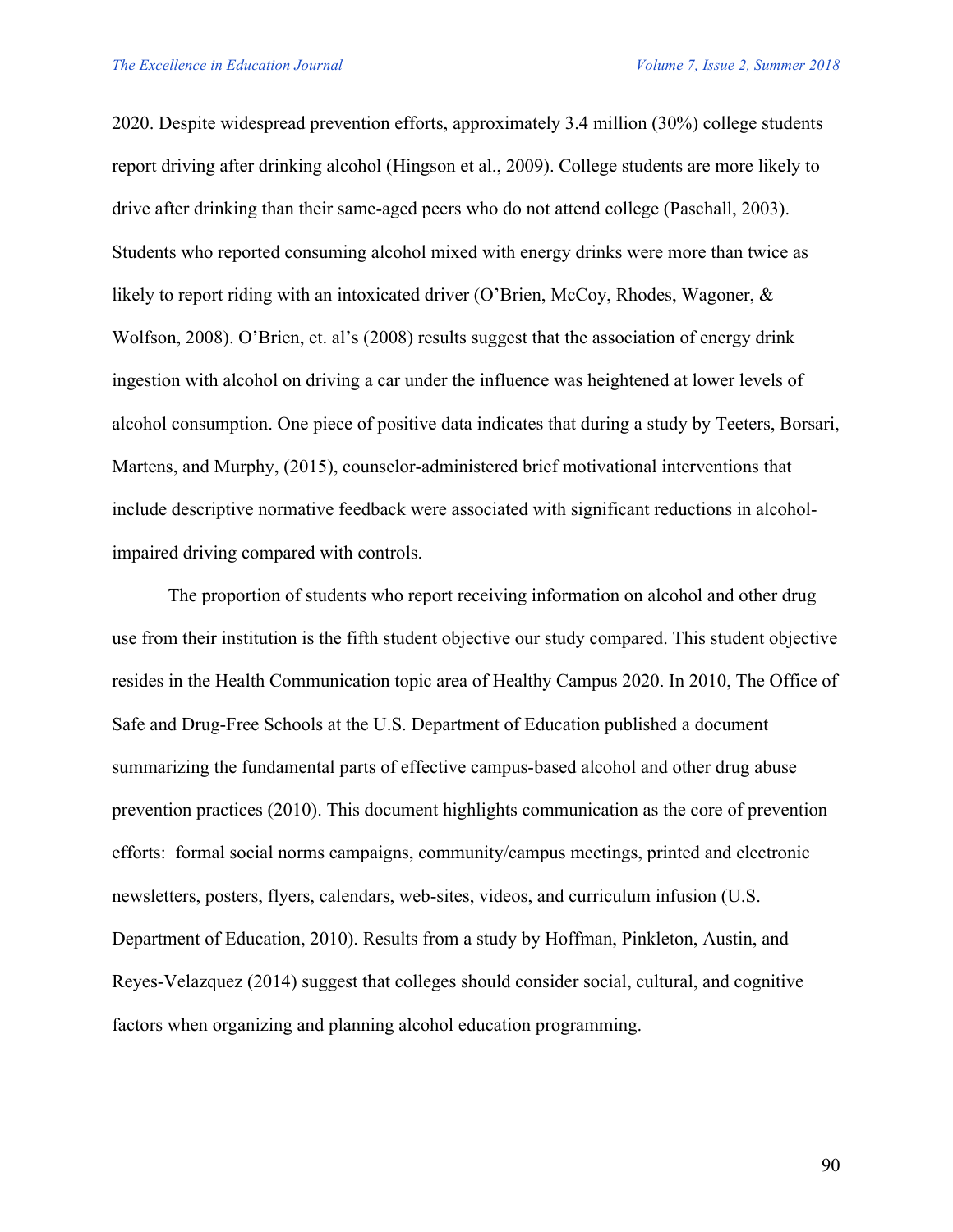2020. Despite widespread prevention efforts, approximately 3.4 million (30%) college students report driving after drinking alcohol (Hingson et al., 2009). College students are more likely to drive after drinking than their same-aged peers who do not attend college (Paschall, 2003). Students who reported consuming alcohol mixed with energy drinks were more than twice as likely to report riding with an intoxicated driver (O'Brien, McCoy, Rhodes, Wagoner, & Wolfson, 2008). O'Brien, et. al's (2008) results suggest that the association of energy drink ingestion with alcohol on driving a car under the influence was heightened at lower levels of alcohol consumption. One piece of positive data indicates that during a study by Teeters, Borsari, Martens, and Murphy, (2015), counselor-administered brief motivational interventions that include descriptive normative feedback were associated with significant reductions in alcoholimpaired driving compared with controls.

The proportion of students who report receiving information on alcohol and other drug use from their institution is the fifth student objective our study compared. This student objective resides in the Health Communication topic area of Healthy Campus 2020. In 2010, The Office of Safe and Drug-Free Schools at the U.S. Department of Education published a document summarizing the fundamental parts of effective campus-based alcohol and other drug abuse prevention practices (2010). This document highlights communication as the core of prevention efforts: formal social norms campaigns, community/campus meetings, printed and electronic newsletters, posters, flyers, calendars, web-sites, videos, and curriculum infusion (U.S. Department of Education, 2010). Results from a study by Hoffman, Pinkleton, Austin, and Reyes-Velazquez (2014) suggest that colleges should consider social, cultural, and cognitive factors when organizing and planning alcohol education programming.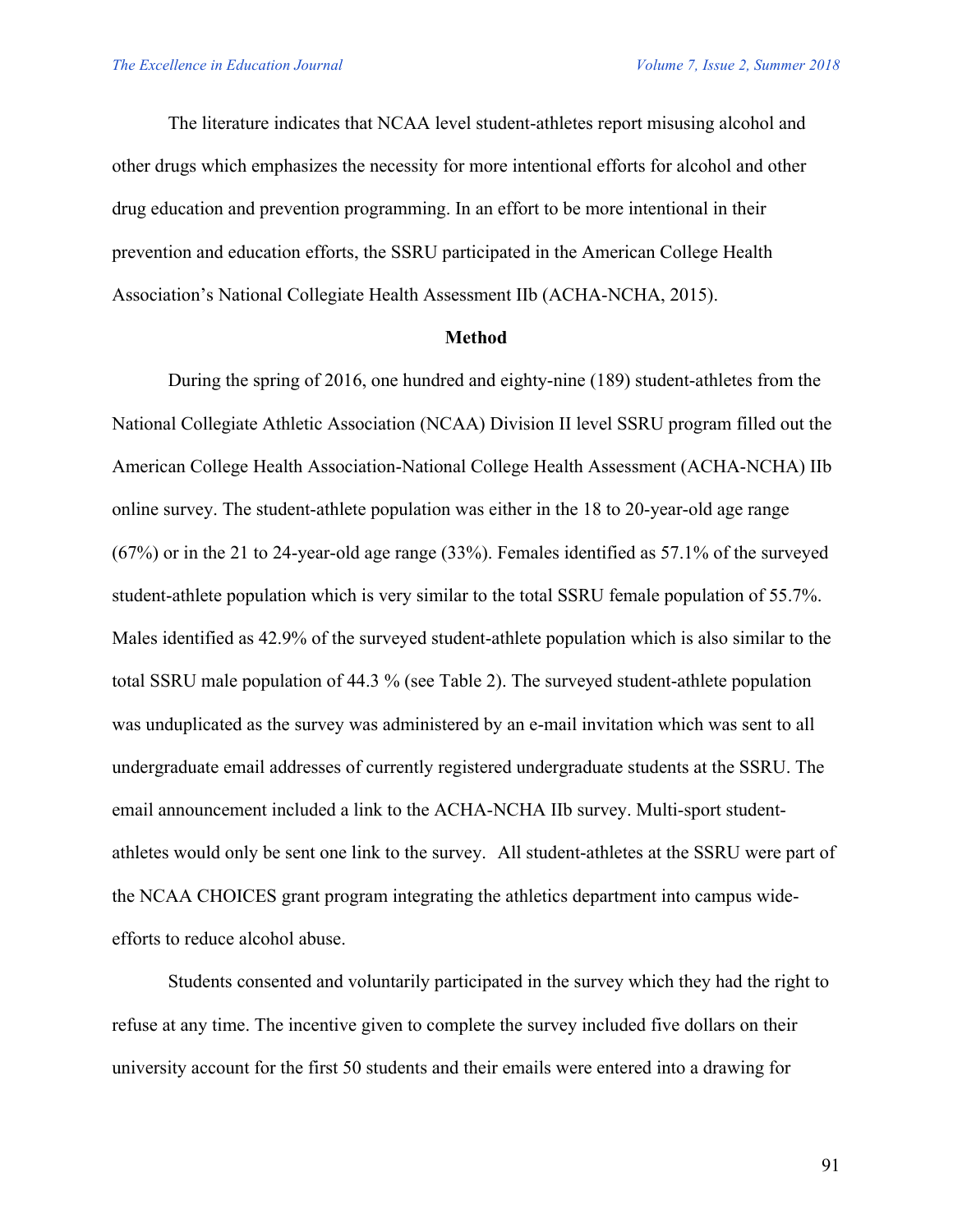The literature indicates that NCAA level student-athletes report misusing alcohol and other drugs which emphasizes the necessity for more intentional efforts for alcohol and other drug education and prevention programming. In an effort to be more intentional in their prevention and education efforts, the SSRU participated in the American College Health Association's National Collegiate Health Assessment IIb (ACHA-NCHA, 2015).

#### **Method**

During the spring of 2016, one hundred and eighty-nine (189) student-athletes from the National Collegiate Athletic Association (NCAA) Division II level SSRU program filled out the American College Health Association-National College Health Assessment (ACHA-NCHA) IIb online survey. The student-athlete population was either in the 18 to 20-year-old age range (67%) or in the 21 to 24-year-old age range (33%). Females identified as 57.1% of the surveyed student-athlete population which is very similar to the total SSRU female population of 55.7%. Males identified as 42.9% of the surveyed student-athlete population which is also similar to the total SSRU male population of 44.3 % (see Table 2). The surveyed student-athlete population was unduplicated as the survey was administered by an e-mail invitation which was sent to all undergraduate email addresses of currently registered undergraduate students at the SSRU. The email announcement included a link to the ACHA-NCHA IIb survey. Multi-sport studentathletes would only be sent one link to the survey. All student-athletes at the SSRU were part of the NCAA CHOICES grant program integrating the athletics department into campus wideefforts to reduce alcohol abuse.

Students consented and voluntarily participated in the survey which they had the right to refuse at any time. The incentive given to complete the survey included five dollars on their university account for the first 50 students and their emails were entered into a drawing for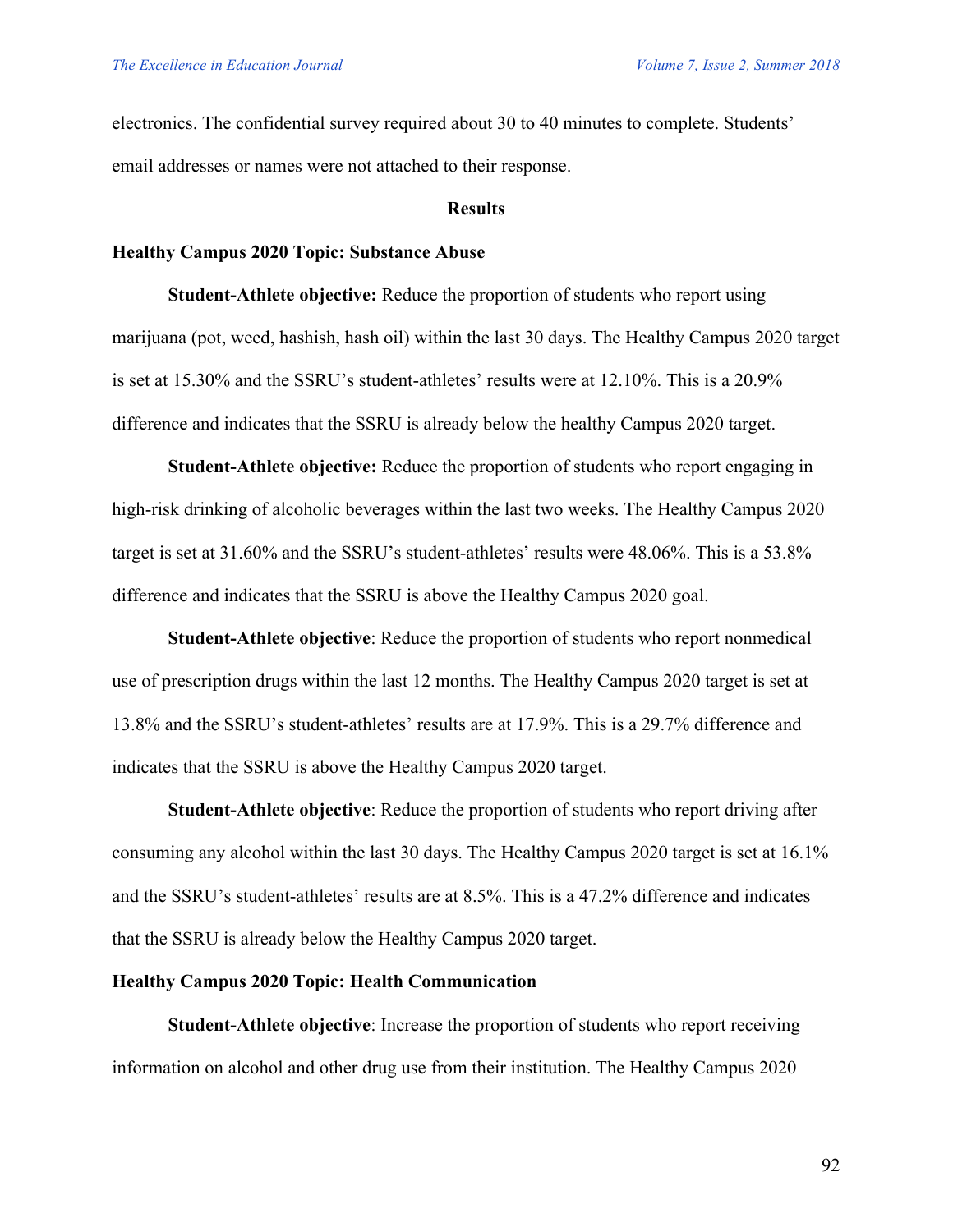electronics. The confidential survey required about 30 to 40 minutes to complete. Students' email addresses or names were not attached to their response.

#### **Results**

#### **Healthy Campus 2020 Topic: Substance Abuse**

**Student-Athlete objective:** Reduce the proportion of students who report using marijuana (pot, weed, hashish, hash oil) within the last 30 days. The Healthy Campus 2020 target is set at 15.30% and the SSRU's student-athletes' results were at 12.10%. This is a 20.9% difference and indicates that the SSRU is already below the healthy Campus 2020 target.

**Student-Athlete objective:** Reduce the proportion of students who report engaging in high-risk drinking of alcoholic beverages within the last two weeks. The Healthy Campus 2020 target is set at 31.60% and the SSRU's student-athletes' results were 48.06%. This is a 53.8% difference and indicates that the SSRU is above the Healthy Campus 2020 goal.

**Student-Athlete objective**: Reduce the proportion of students who report nonmedical use of prescription drugs within the last 12 months. The Healthy Campus 2020 target is set at 13.8% and the SSRU's student-athletes' results are at 17.9%. This is a 29.7% difference and indicates that the SSRU is above the Healthy Campus 2020 target.

**Student-Athlete objective**: Reduce the proportion of students who report driving after consuming any alcohol within the last 30 days. The Healthy Campus 2020 target is set at 16.1% and the SSRU's student-athletes' results are at 8.5%. This is a 47.2% difference and indicates that the SSRU is already below the Healthy Campus 2020 target.

#### **Healthy Campus 2020 Topic: Health Communication**

**Student-Athlete objective**: Increase the proportion of students who report receiving information on alcohol and other drug use from their institution. The Healthy Campus 2020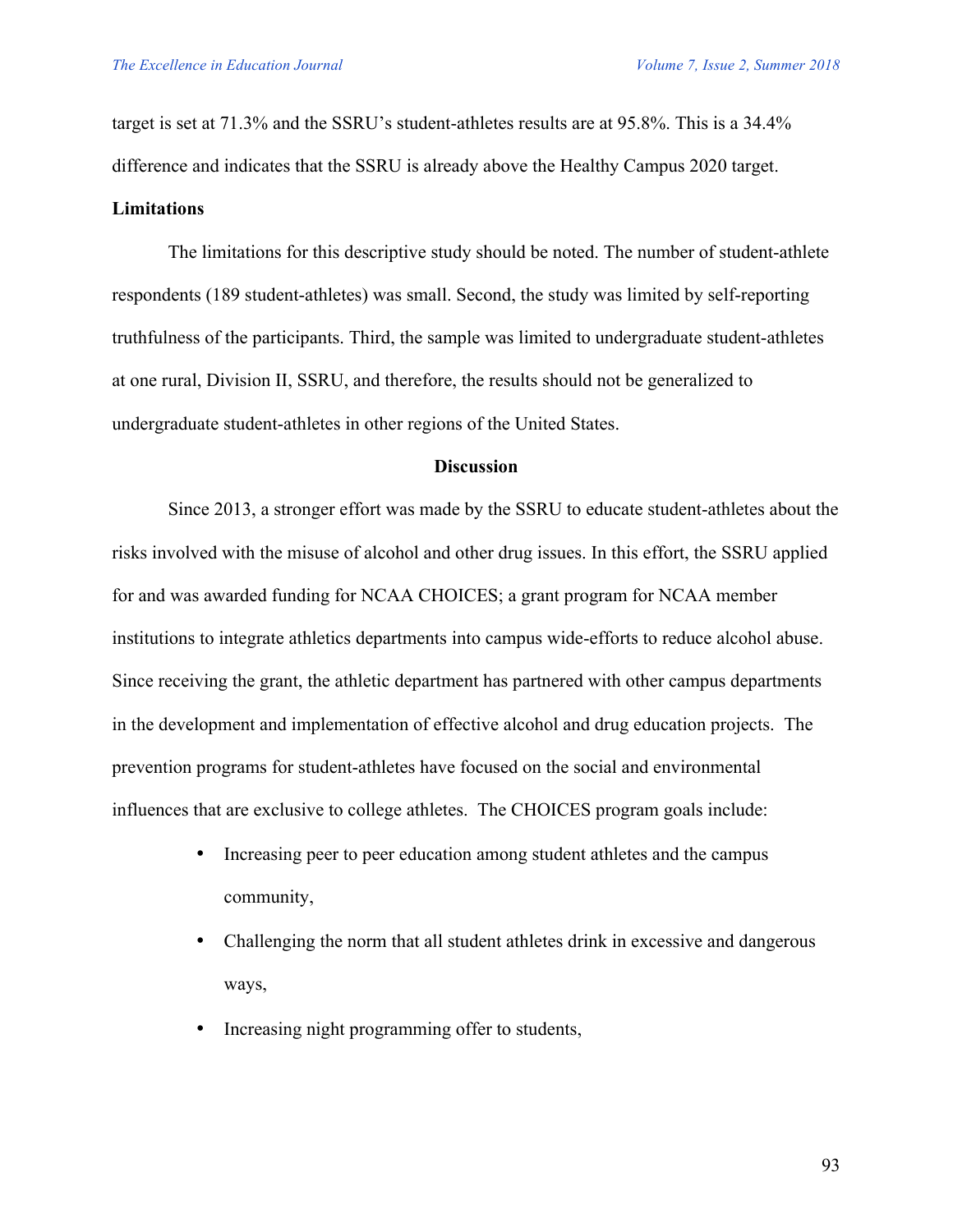target is set at 71.3% and the SSRU's student-athletes results are at 95.8%. This is a 34.4% difference and indicates that the SSRU is already above the Healthy Campus 2020 target.

#### **Limitations**

The limitations for this descriptive study should be noted. The number of student-athlete respondents (189 student-athletes) was small. Second, the study was limited by self-reporting truthfulness of the participants. Third, the sample was limited to undergraduate student-athletes at one rural, Division II, SSRU, and therefore, the results should not be generalized to undergraduate student-athletes in other regions of the United States.

#### **Discussion**

Since 2013, a stronger effort was made by the SSRU to educate student-athletes about the risks involved with the misuse of alcohol and other drug issues. In this effort, the SSRU applied for and was awarded funding for NCAA CHOICES; a grant program for NCAA member institutions to integrate athletics departments into campus wide-efforts to reduce alcohol abuse. Since receiving the grant, the athletic department has partnered with other campus departments in the development and implementation of effective alcohol and drug education projects. The prevention programs for student-athletes have focused on the social and environmental influences that are exclusive to college athletes. The CHOICES program goals include:

- Increasing peer to peer education among student athletes and the campus community,
- Challenging the norm that all student athletes drink in excessive and dangerous ways,
- Increasing night programming offer to students,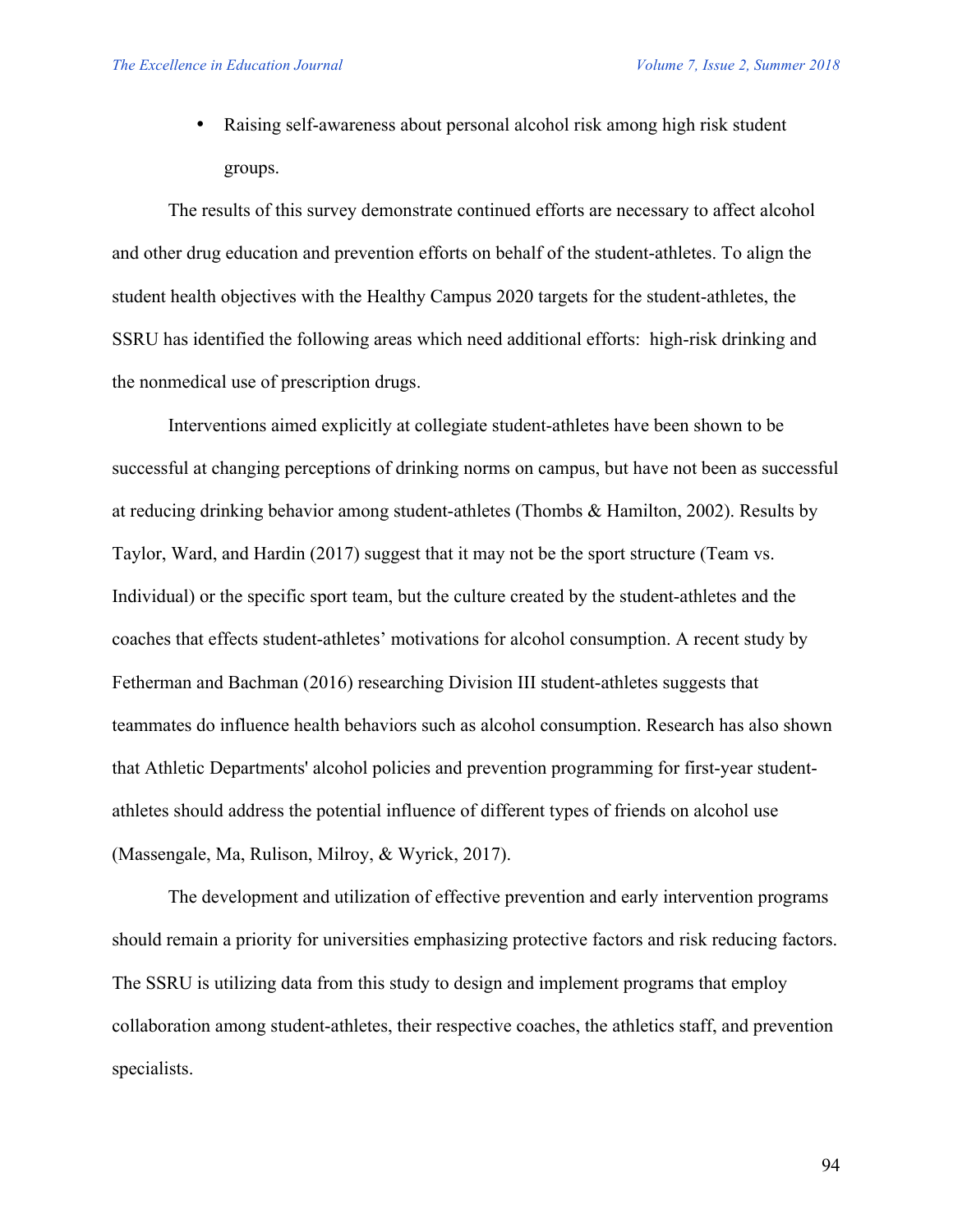• Raising self-awareness about personal alcohol risk among high risk student groups.

The results of this survey demonstrate continued efforts are necessary to affect alcohol and other drug education and prevention efforts on behalf of the student-athletes. To align the student health objectives with the Healthy Campus 2020 targets for the student-athletes, the SSRU has identified the following areas which need additional efforts: high-risk drinking and the nonmedical use of prescription drugs.

Interventions aimed explicitly at collegiate student-athletes have been shown to be successful at changing perceptions of drinking norms on campus, but have not been as successful at reducing drinking behavior among student-athletes (Thombs & Hamilton, 2002). Results by Taylor, Ward, and Hardin (2017) suggest that it may not be the sport structure (Team vs. Individual) or the specific sport team, but the culture created by the student-athletes and the coaches that effects student-athletes' motivations for alcohol consumption. A recent study by Fetherman and Bachman (2016) researching Division III student-athletes suggests that teammates do influence health behaviors such as alcohol consumption. Research has also shown that Athletic Departments' alcohol policies and prevention programming for first-year studentathletes should address the potential influence of different types of friends on alcohol use (Massengale, Ma, Rulison, Milroy, & Wyrick, 2017).

The development and utilization of effective prevention and early intervention programs should remain a priority for universities emphasizing protective factors and risk reducing factors. The SSRU is utilizing data from this study to design and implement programs that employ collaboration among student-athletes, their respective coaches, the athletics staff, and prevention specialists.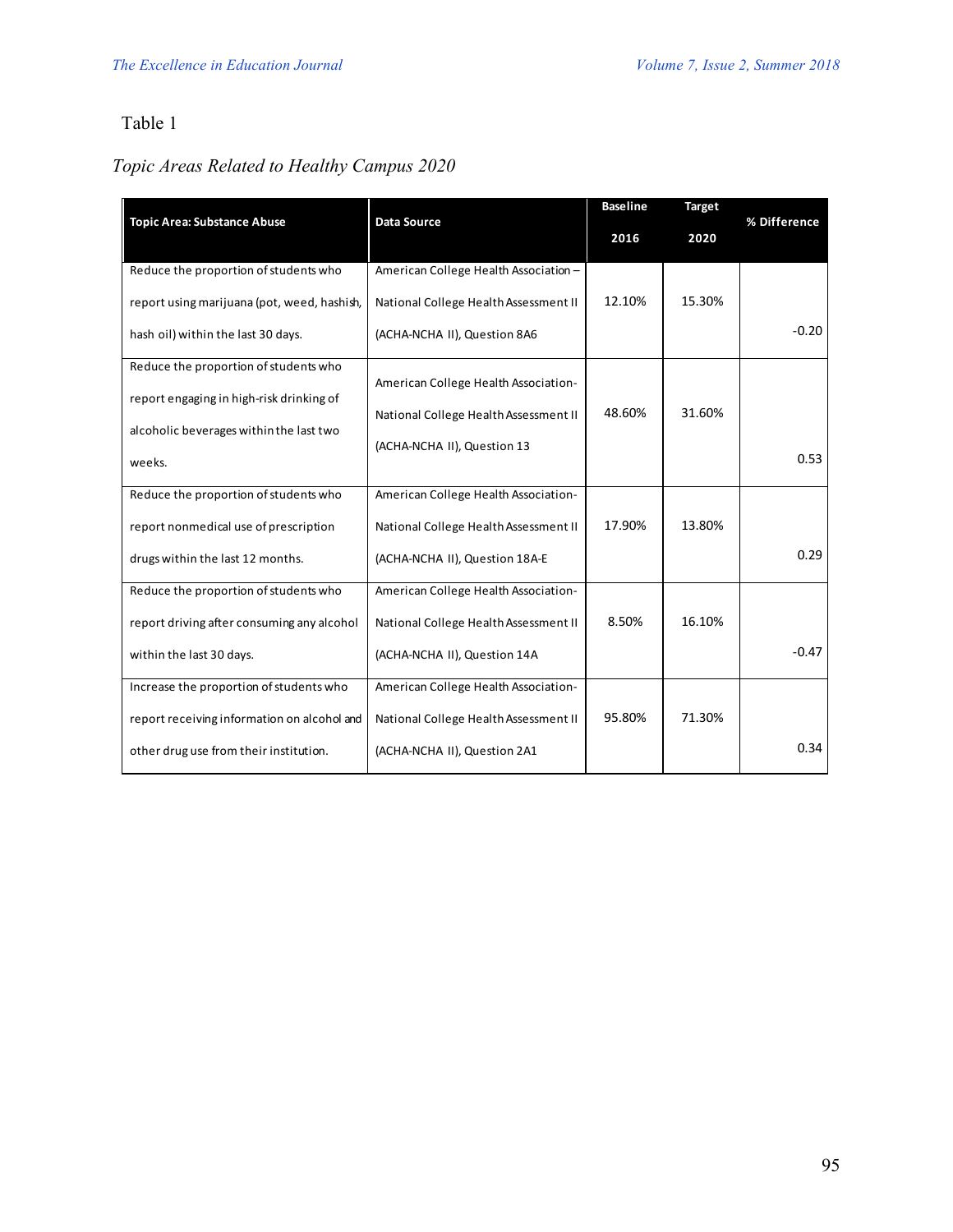# Table 1

# *Topic Areas Related to Healthy Campus 2020*

|                                             |                                       | <b>Baseline</b> | <b>Target</b> |              |
|---------------------------------------------|---------------------------------------|-----------------|---------------|--------------|
| <b>Topic Area: Substance Abuse</b>          | <b>Data Source</b>                    | 2016            | 2020          | % Difference |
| Reduce the proportion of students who       | American College Health Association - |                 |               |              |
| report using marijuana (pot, weed, hashish, | National College Health Assessment II | 12.10%          | 15.30%        |              |
| hash oil) within the last 30 days.          | (ACHA-NCHA II), Question 8A6          |                 |               | $-0.20$      |
| Reduce the proportion of students who       |                                       |                 |               |              |
| report engaging in high-risk drinking of    | American College Health Association-  |                 |               |              |
|                                             | National College Health Assessment II | 48.60%          | 31.60%        |              |
| alcoholic beverages within the last two     | (ACHA-NCHA II), Question 13           |                 |               |              |
| weeks.                                      |                                       |                 |               | 0.53         |
| Reduce the proportion of students who       | American College Health Association-  |                 |               |              |
| report nonmedical use of prescription       | National College Health Assessment II | 17.90%          | 13.80%        |              |
| drugs within the last 12 months.            | (ACHA-NCHA II), Question 18A-E        |                 |               | 0.29         |
| Reduce the proportion of students who       | American College Health Association-  |                 |               |              |
| report driving after consuming any alcohol  | National College Health Assessment II | 8.50%           | 16.10%        |              |
| within the last 30 days.                    | (ACHA-NCHA II), Question 14A          |                 |               | $-0.47$      |
| Increase the proportion of students who     | American College Health Association-  |                 |               |              |
| report receiving information on alcohol and | National College Health Assessment II | 95.80%          | 71.30%        |              |
| other drug use from their institution.      | (ACHA-NCHA II), Question 2A1          |                 |               | 0.34         |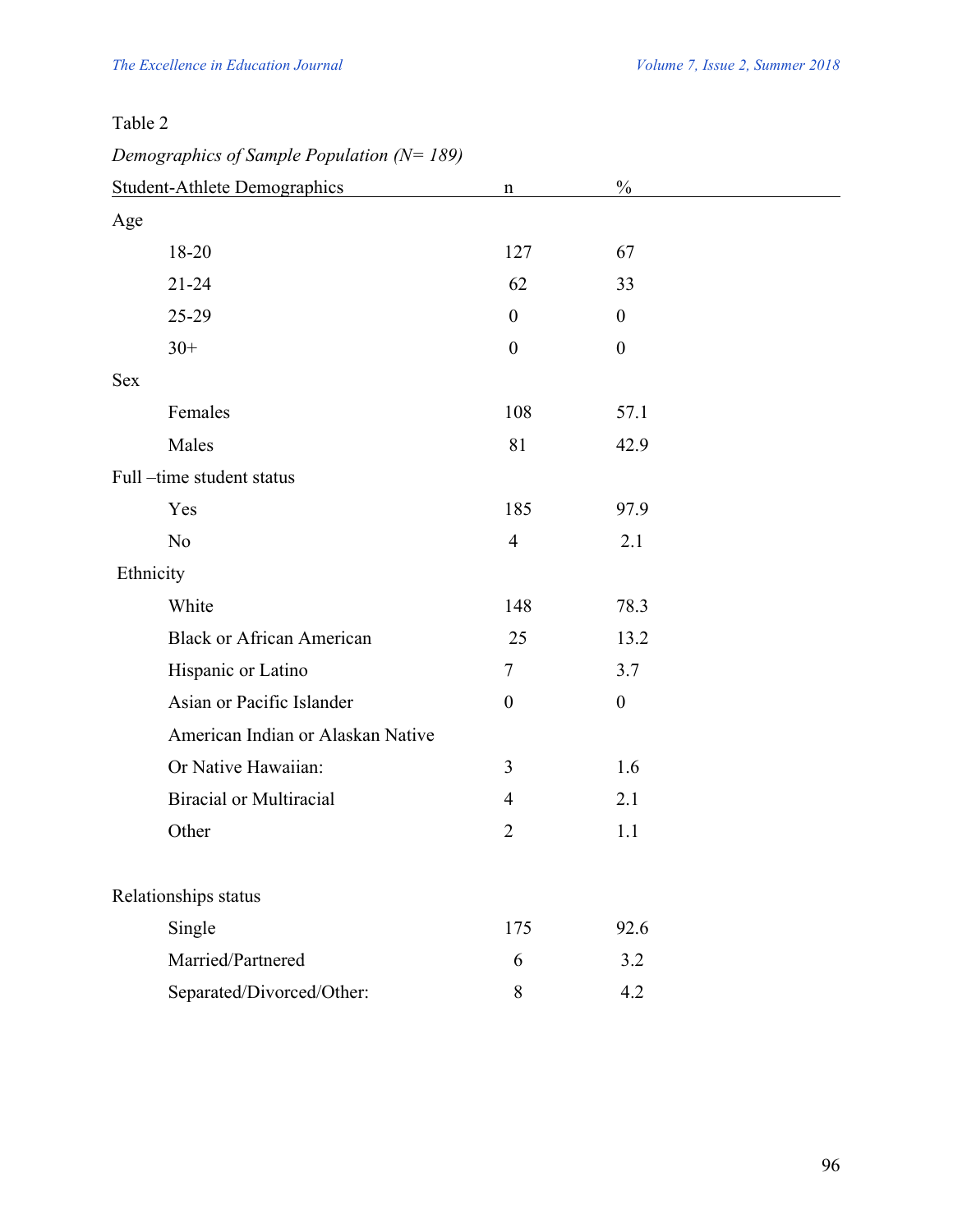| Table 2                                         |                  |                  |  |
|-------------------------------------------------|------------------|------------------|--|
| Demographics of Sample Population ( $N = 189$ ) |                  |                  |  |
| <b>Student-Athlete Demographics</b>             | $\mathbf n$      | $\frac{0}{0}$    |  |
| Age                                             |                  |                  |  |
| 18-20                                           | 127              | 67               |  |
| $21 - 24$                                       | 62               | 33               |  |
| 25-29                                           | $\boldsymbol{0}$ | $\boldsymbol{0}$ |  |
| $30+$                                           | $\boldsymbol{0}$ | $\boldsymbol{0}$ |  |
| <b>Sex</b>                                      |                  |                  |  |
| Females                                         | 108              | 57.1             |  |
| Males                                           | 81               | 42.9             |  |
| Full-time student status                        |                  |                  |  |
| Yes                                             | 185              | 97.9             |  |
| N <sub>o</sub>                                  | $\overline{4}$   | 2.1              |  |
| Ethnicity                                       |                  |                  |  |
| White                                           | 148              | 78.3             |  |
| <b>Black or African American</b>                | 25               | 13.2             |  |
| Hispanic or Latino                              | $\tau$           | 3.7              |  |
| Asian or Pacific Islander                       | $\boldsymbol{0}$ | $\boldsymbol{0}$ |  |
| American Indian or Alaskan Native               |                  |                  |  |
| Or Native Hawaiian:                             | 3                | 1.6              |  |
| <b>Biracial or Multiracial</b>                  | $\overline{4}$   | 2.1              |  |
| Other                                           | $\overline{2}$   | 1.1              |  |
| Relationships status                            |                  |                  |  |
| Single                                          | 175              | 92.6             |  |
| Married/Partnered                               | 6                | 3.2              |  |
| Separated/Divorced/Other:                       | 8                | 4.2              |  |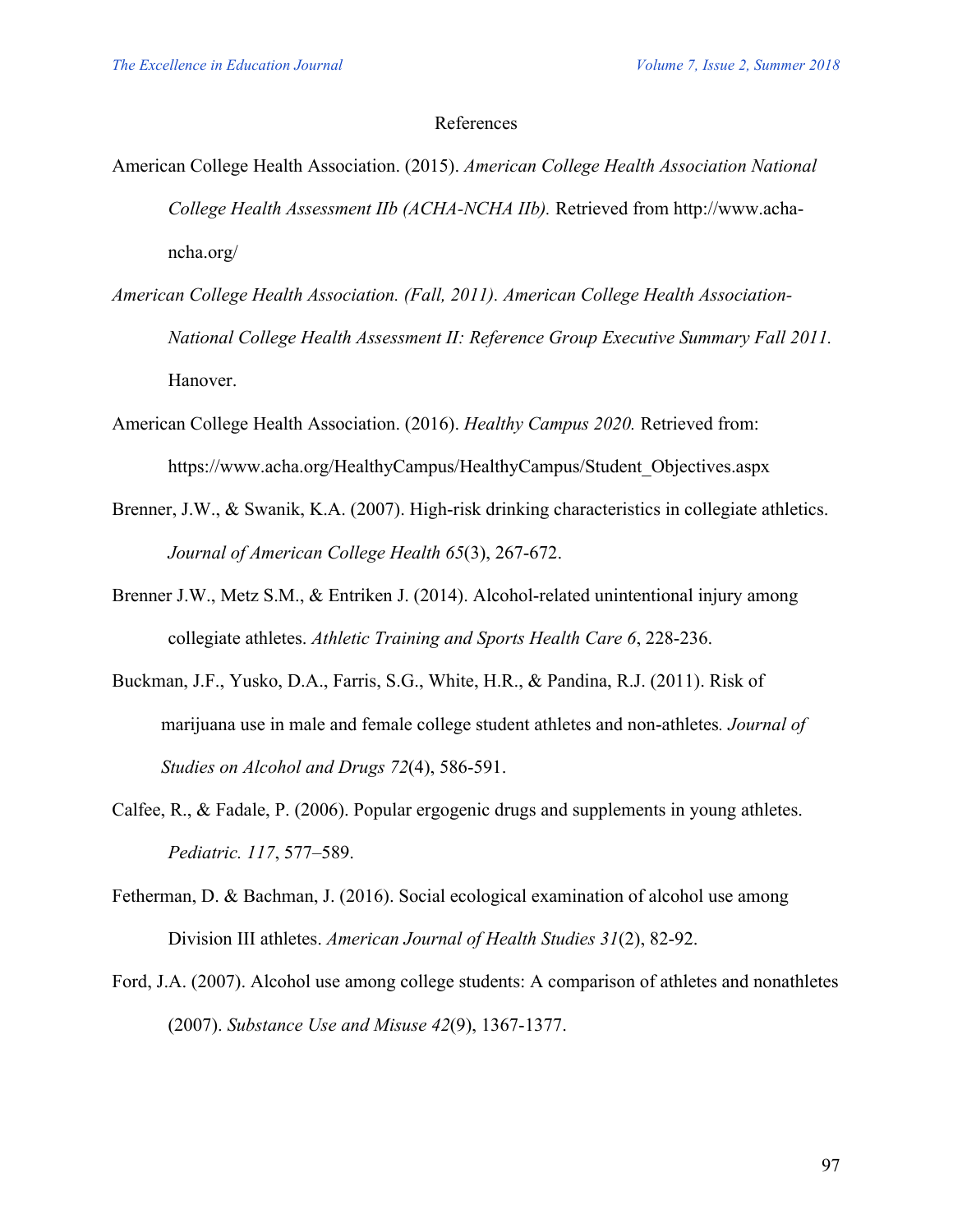#### References

- American College Health Association. (2015). *American College Health Association National College Health Assessment IIb (ACHA-NCHA IIb).* Retrieved from http://www.achancha.org/
- *American College Health Association. (Fall, 2011). American College Health Association-National College Health Assessment II: Reference Group Executive Summary Fall 2011.* Hanover.
- American College Health Association. (2016). *Healthy Campus 2020.* Retrieved from: https://www.acha.org/HealthyCampus/HealthyCampus/Student\_Objectives.aspx
- Brenner, J.W., & Swanik, K.A. (2007). High-risk drinking characteristics in collegiate athletics. *Journal of American College Health 65*(3), 267-672.
- Brenner J.W., Metz S.M., & Entriken J. (2014). Alcohol-related unintentional injury among collegiate athletes. *Athletic Training and Sports Health Care 6*, 228-236.
- Buckman, J.F., Yusko, D.A., Farris, S.G., White, H.R., & Pandina, R.J. (2011). Risk of marijuana use in male and female college student athletes and non-athletes*. Journal of Studies on Alcohol and Drugs 72*(4), 586-591.
- Calfee, R., & Fadale, P. (2006). Popular ergogenic drugs and supplements in young athletes. *Pediatric. 117*, 577–589.
- Fetherman, D. & Bachman, J. (2016). Social ecological examination of alcohol use among Division III athletes. *American Journal of Health Studies 31*(2), 82-92.
- Ford, J.A. (2007). Alcohol use among college students: A comparison of athletes and nonathletes (2007). *Substance Use and Misuse 42*(9), 1367-1377.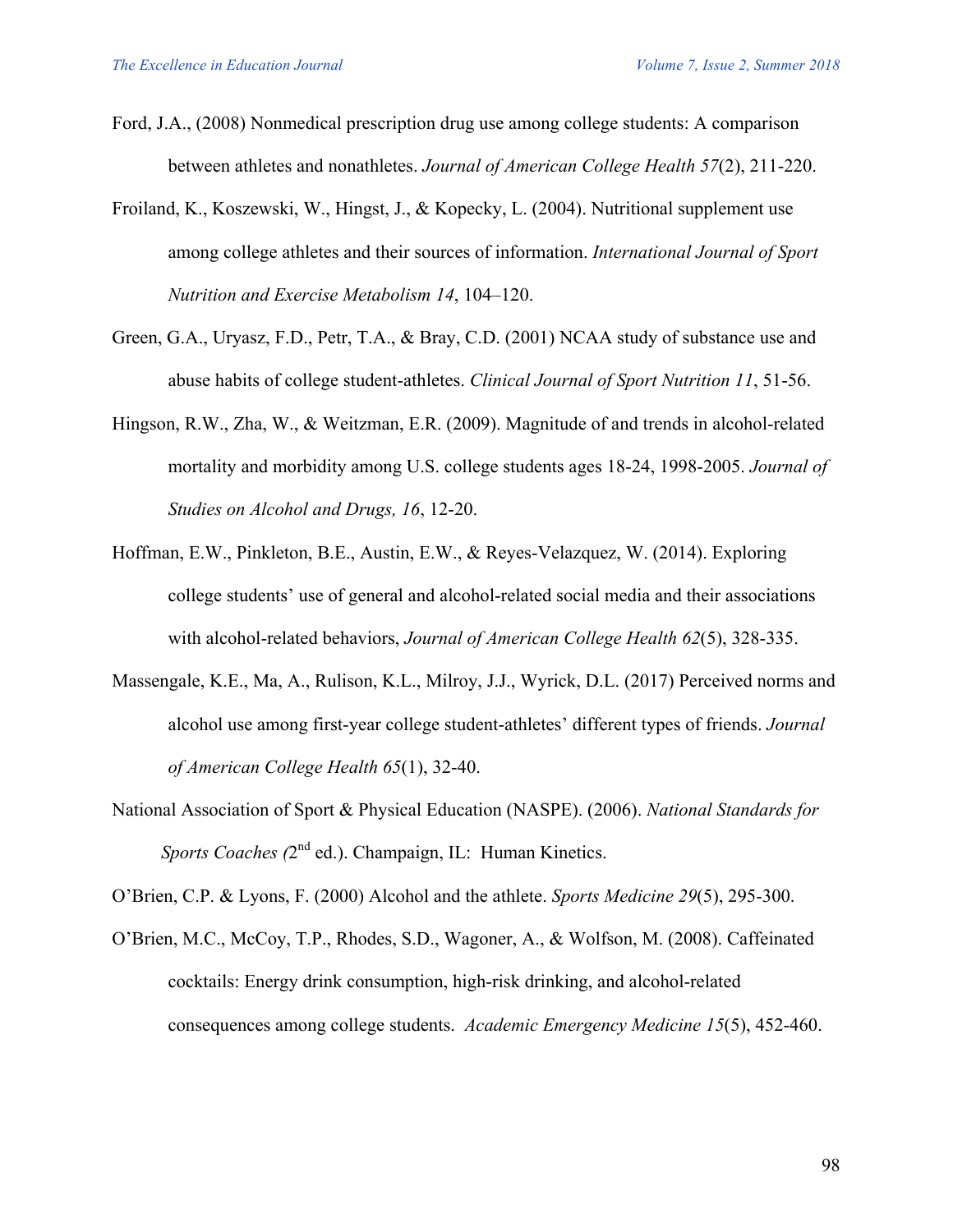- Ford, J.A., (2008) Nonmedical prescription drug use among college students: A comparison between athletes and nonathletes. *Journal of American College Health 57*(2), 211-220.
- Froiland, K., Koszewski, W., Hingst, J., & Kopecky, L. (2004). Nutritional supplement use among college athletes and their sources of information. *International Journal of Sport Nutrition and Exercise Metabolism 14*, 104–120.
- Green, G.A., Uryasz, F.D., Petr, T.A., & Bray, C.D. (2001) NCAA study of substance use and abuse habits of college student-athletes. *Clinical Journal of Sport Nutrition 11*, 51-56.
- Hingson, R.W., Zha, W., & Weitzman, E.R. (2009). Magnitude of and trends in alcohol-related mortality and morbidity among U.S. college students ages 18-24, 1998-2005. *Journal of Studies on Alcohol and Drugs, 16*, 12-20.
- Hoffman, E.W., Pinkleton, B.E., Austin, E.W., & Reyes-Velazquez, W. (2014). Exploring college students' use of general and alcohol-related social media and their associations with alcohol-related behaviors, *Journal of American College Health 62*(5), 328-335.
- Massengale, K.E., Ma, A., Rulison, K.L., Milroy, J.J., Wyrick, D.L. (2017) Perceived norms and alcohol use among first-year college student-athletes' different types of friends. *Journal of American College Health 65*(1), 32-40.
- National Association of Sport & Physical Education (NASPE). (2006). *National Standards for Sports Coaches (2<sup>nd</sup> ed.).* Champaign, IL: Human Kinetics.

O'Brien, C.P. & Lyons, F. (2000) Alcohol and the athlete. *Sports Medicine 29*(5), 295-300.

O'Brien, M.C., McCoy, T.P., Rhodes, S.D., Wagoner, A., & Wolfson, M. (2008). Caffeinated cocktails: Energy drink consumption, high-risk drinking, and alcohol-related consequences among college students. *Academic Emergency Medicine 15*(5), 452-460.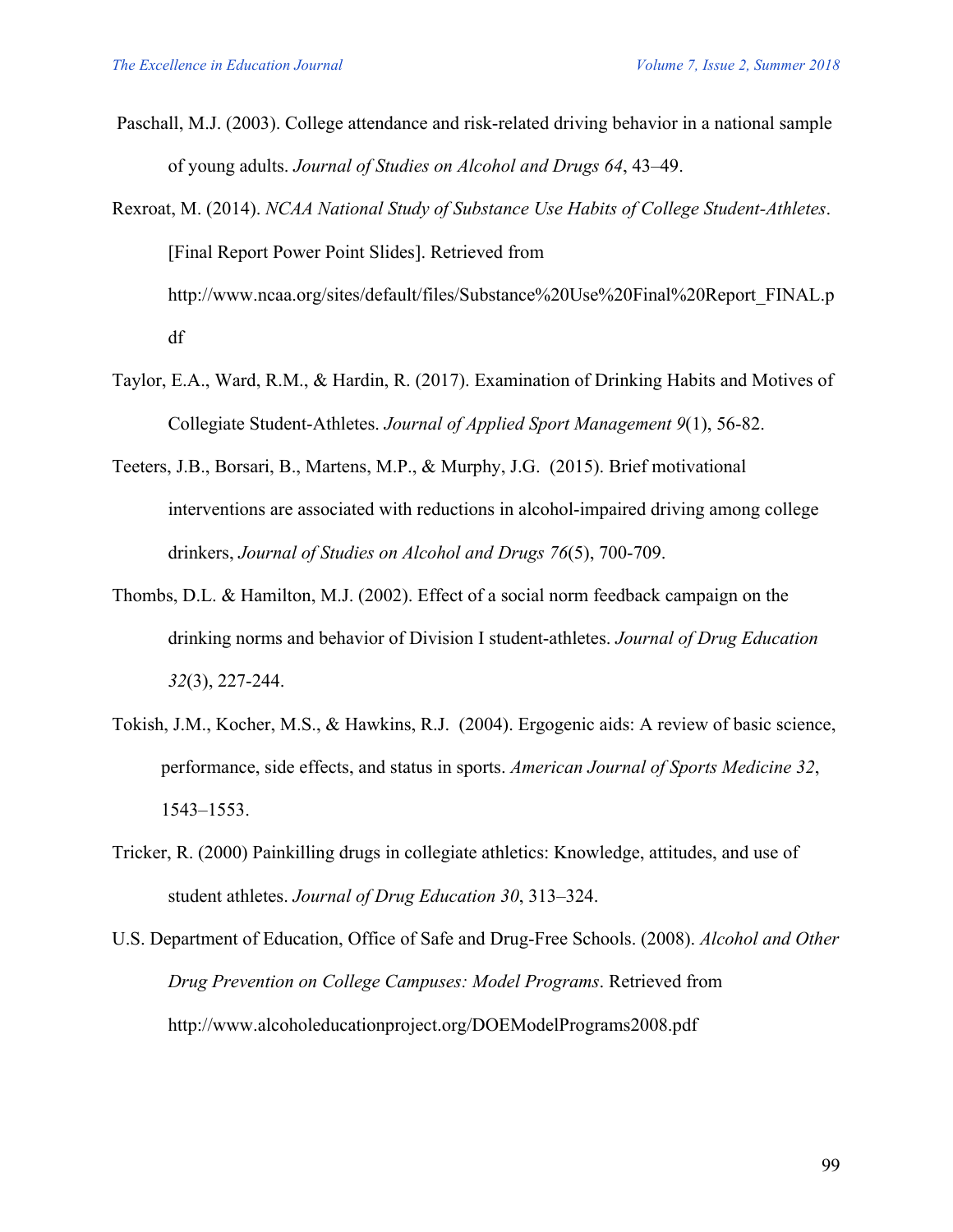Paschall, M.J. (2003). College attendance and risk-related driving behavior in a national sample of young adults. *Journal of Studies on Alcohol and Drugs 64*, 43–49.

Rexroat, M. (2014). *NCAA National Study of Substance Use Habits of College Student-Athletes*. [Final Report Power Point Slides]. Retrieved from http://www.ncaa.org/sites/default/files/Substance%20Use%20Final%20Report\_FINAL.p df

- Taylor, E.A., Ward, R.M., & Hardin, R. (2017). Examination of Drinking Habits and Motives of Collegiate Student-Athletes. *Journal of Applied Sport Management 9*(1), 56-82.
- Teeters, J.B., Borsari, B., Martens, M.P., & Murphy, J.G. (2015). Brief motivational interventions are associated with reductions in alcohol-impaired driving among college drinkers, *Journal of Studies on Alcohol and Drugs 76*(5), 700-709.
- Thombs, D.L. & Hamilton, M.J. (2002). Effect of a social norm feedback campaign on the drinking norms and behavior of Division I student-athletes. *Journal of Drug Education 32*(3), 227-244.
- Tokish, J.M., Kocher, M.S., & Hawkins, R.J. (2004). Ergogenic aids: A review of basic science, performance, side effects, and status in sports. *American Journal of Sports Medicine 32*, 1543–1553.
- Tricker, R. (2000) Painkilling drugs in collegiate athletics: Knowledge, attitudes, and use of student athletes. *Journal of Drug Education 30*, 313–324.
- U.S. Department of Education, Office of Safe and Drug-Free Schools. (2008). *Alcohol and Other Drug Prevention on College Campuses: Model Programs*. Retrieved from http://www.alcoholeducationproject.org/DOEModelPrograms2008.pdf